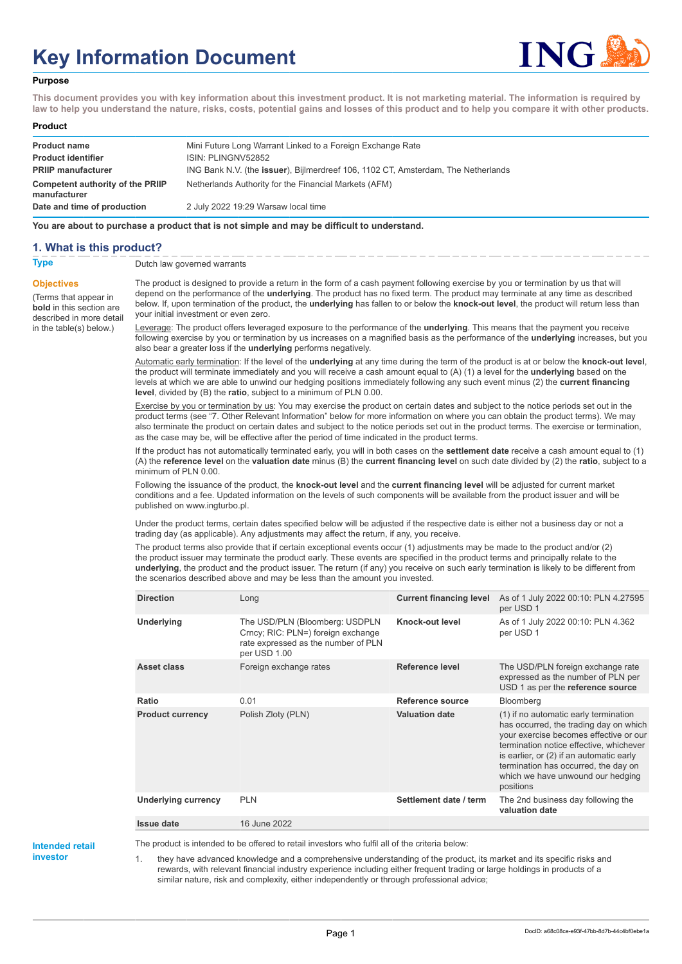# **Key Information Document**



### **Purpose**

**This document provides you with key information about this investment product. It is not marketing material. The information is required by law to help you understand the nature, risks, costs, potential gains and losses of this product and to help you compare it with other products.**

#### **Product**

| <b>Product name</b><br><b>Product identifier</b> | Mini Future Long Warrant Linked to a Foreign Exchange Rate<br>ISIN: PLINGNV52852  |
|--------------------------------------------------|-----------------------------------------------------------------------------------|
| <b>PRIIP manufacturer</b>                        | ING Bank N.V. (the issuer), Bijlmerdreef 106, 1102 CT, Amsterdam, The Netherlands |
| Competent authority of the PRIIP<br>manufacturer | Netherlands Authority for the Financial Markets (AFM)                             |
| Date and time of production                      | 2 July 2022 19:29 Warsaw local time                                               |

**You are about to purchase a product that is not simple and may be difficult to understand.**

## **1. What is this product?**

**Objectives**

(Terms that appear in **bold** in this section are

in the table(s) below.)

**Type** Dutch law governed warrants

described in more detail The product is designed to provide a return in the form of a cash payment following exercise by you or termination by us that will depend on the performance of the **underlying**. The product has no fixed term. The product may terminate at any time as described below. If, upon termination of the product, the **underlying** has fallen to or below the **knock-out level**, the product will return less than your initial investment or even zero.

> Leverage: The product offers leveraged exposure to the performance of the **underlying**. This means that the payment you receive following exercise by you or termination by us increases on a magnified basis as the performance of the **underlying** increases, but you also bear a greater loss if the **underlying** performs negatively.

> Automatic early termination: If the level of the **underlying** at any time during the term of the product is at or below the **knock-out level**, the product will terminate immediately and you will receive a cash amount equal to (A) (1) a level for the **underlying** based on the levels at which we are able to unwind our hedging positions immediately following any such event minus (2) the **current financing level**, divided by (B) the **ratio**, subject to a minimum of PLN 0.00.

> Exercise by you or termination by us: You may exercise the product on certain dates and subject to the notice periods set out in the product terms (see "7. Other Relevant Information" below for more information on where you can obtain the product terms). We may also terminate the product on certain dates and subject to the notice periods set out in the product terms. The exercise or termination, as the case may be, will be effective after the period of time indicated in the product terms.

> If the product has not automatically terminated early, you will in both cases on the **settlement date** receive a cash amount equal to (1) (A) the **reference level** on the **valuation date** minus (B) the **current financing level** on such date divided by (2) the **ratio**, subject to a minimum of PLN 0.00.

Following the issuance of the product, the **knock-out level** and the **current financing level** will be adjusted for current market conditions and a fee. Updated information on the levels of such components will be available from the product issuer and will be published on www.ingturbo.pl.

Under the product terms, certain dates specified below will be adjusted if the respective date is either not a business day or not a trading day (as applicable). Any adjustments may affect the return, if any, you receive.

The product terms also provide that if certain exceptional events occur (1) adjustments may be made to the product and/or (2) the product issuer may terminate the product early. These events are specified in the product terms and principally relate to the **underlying**, the product and the product issuer. The return (if any) you receive on such early termination is likely to be different from the scenarios described above and may be less than the amount you invested.

| <b>Direction</b>        | Long                                                                                                                        | <b>Current financing level</b> | As of 1 July 2022 00:10: PLN 4.27595<br>per USD 1                                                                                                                                                                                                                                                          |
|-------------------------|-----------------------------------------------------------------------------------------------------------------------------|--------------------------------|------------------------------------------------------------------------------------------------------------------------------------------------------------------------------------------------------------------------------------------------------------------------------------------------------------|
| <b>Underlying</b>       | The USD/PLN (Bloomberg: USDPLN<br>Crncy; RIC: PLN=) foreign exchange<br>rate expressed as the number of PLN<br>per USD 1.00 | Knock-out level                | As of 1 July 2022 00:10: PLN 4.362<br>per USD 1                                                                                                                                                                                                                                                            |
| Asset class             | Foreign exchange rates                                                                                                      | Reference level                | The USD/PLN foreign exchange rate<br>expressed as the number of PLN per<br>USD 1 as per the reference source                                                                                                                                                                                               |
| Ratio                   | 0.01                                                                                                                        | Reference source               | Bloomberg                                                                                                                                                                                                                                                                                                  |
| <b>Product currency</b> | Polish Zloty (PLN)                                                                                                          | <b>Valuation date</b>          | (1) if no automatic early termination<br>has occurred, the trading day on which<br>your exercise becomes effective or our<br>termination notice effective, whichever<br>is earlier, or (2) if an automatic early<br>termination has occurred, the day on<br>which we have unwound our hedging<br>positions |
| Underlying currency     | <b>PLN</b>                                                                                                                  | Settlement date / term         | The 2nd business day following the<br>valuation date                                                                                                                                                                                                                                                       |
| <b>Issue date</b>       | 16 June 2022                                                                                                                |                                |                                                                                                                                                                                                                                                                                                            |

**Intended retail investor**

The product is intended to be offered to retail investors who fulfil all of the criteria below:

they have advanced knowledge and a comprehensive understanding of the product, its market and its specific risks and rewards, with relevant financial industry experience including either frequent trading or large holdings in products of a similar nature, risk and complexity, either independently or through professional advice;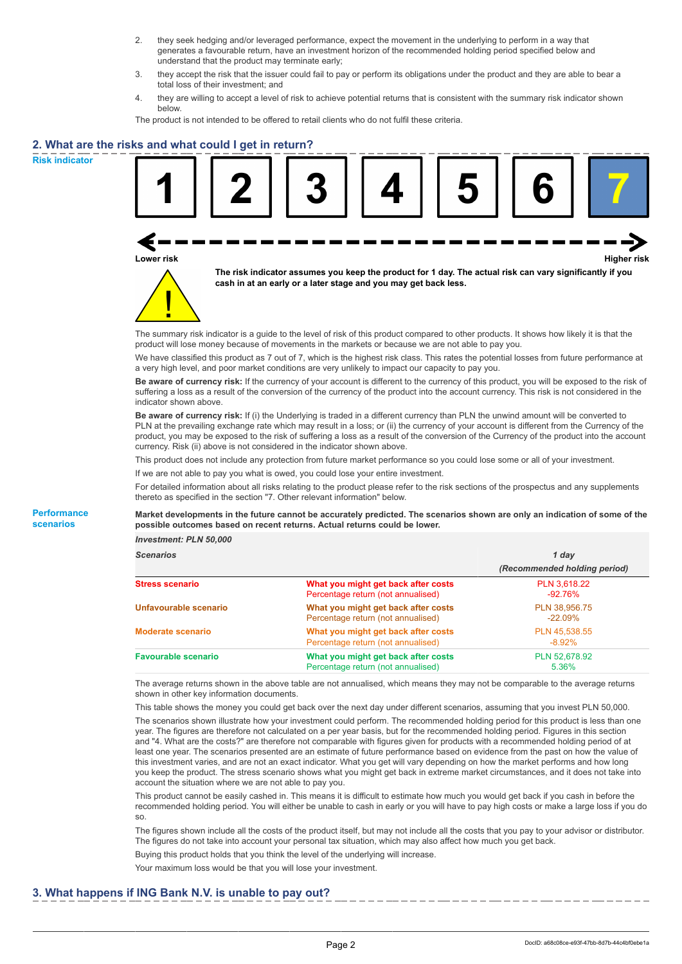- 2. they seek hedging and/or leveraged performance, expect the movement in the underlying to perform in a way that generates a favourable return, have an investment horizon of the recommended holding period specified below and understand that the product may terminate early;
- 3. they accept the risk that the issuer could fail to pay or perform its obligations under the product and they are able to bear a total loss of their investment; and
- 4. they are willing to accept a level of risk to achieve potential returns that is consistent with the summary risk indicator shown below.

The product is not intended to be offered to retail clients who do not fulfil these criteria.

# **2. What are the risks and what could I get in return?**

**Risk indicator**

**Performance scenarios**





**The risk indicator assumes you keep the product for 1 day. The actual risk can vary significantly if you cash in at an early or a later stage and you may get back less.**

The summary risk indicator is a guide to the level of risk of this product compared to other products. It shows how likely it is that the product will lose money because of movements in the markets or because we are not able to pay you.

We have classified this product as 7 out of 7, which is the highest risk class. This rates the potential losses from future performance at a very high level, and poor market conditions are very unlikely to impact our capacity to pay you.

**Be aware of currency risk:** If the currency of your account is different to the currency of this product, you will be exposed to the risk of suffering a loss as a result of the conversion of the currency of the product into the account currency. This risk is not considered in the indicator shown above.

**Be aware of currency risk:** If (i) the Underlying is traded in a different currency than PLN the unwind amount will be converted to PLN at the prevailing exchange rate which may result in a loss; or (ii) the currency of your account is different from the Currency of the product, you may be exposed to the risk of suffering a loss as a result of the conversion of the Currency of the product into the account currency. Risk (ii) above is not considered in the indicator shown above.

This product does not include any protection from future market performance so you could lose some or all of your investment.

If we are not able to pay you what is owed, you could lose your entire investment.

For detailed information about all risks relating to the product please refer to the risk sections of the prospectus and any supplements thereto as specified in the section "7. Other relevant information" below.

#### **Market developments in the future cannot be accurately predicted. The scenarios shown are only an indication of some of the possible outcomes based on recent returns. Actual returns could be lower.**

*Investment: PLN 50,000*

| <b>Scenarios</b>           |                                                                           | 1 day                        |
|----------------------------|---------------------------------------------------------------------------|------------------------------|
|                            |                                                                           | (Recommended holding period) |
| <b>Stress scenario</b>     | What you might get back after costs<br>Percentage return (not annualised) | PLN 3,618.22<br>-92.76%      |
| Unfavourable scenario      | What you might get back after costs<br>Percentage return (not annualised) | PLN 38.956.75<br>$-22.09%$   |
| <b>Moderate scenario</b>   | What you might get back after costs<br>Percentage return (not annualised) | PLN 45.538.55<br>$-8.92\%$   |
| <b>Favourable scenario</b> | What you might get back after costs<br>Percentage return (not annualised) | PLN 52,678.92<br>5.36%       |

The average returns shown in the above table are not annualised, which means they may not be comparable to the average returns shown in other key information documents.

This table shows the money you could get back over the next day under different scenarios, assuming that you invest PLN 50,000. The scenarios shown illustrate how your investment could perform. The recommended holding period for this product is less than one year. The figures are therefore not calculated on a per year basis, but for the recommended holding period. Figures in this section and "4. What are the costs?" are therefore not comparable with figures given for products with a recommended holding period of at least one year. The scenarios presented are an estimate of future performance based on evidence from the past on how the value of this investment varies, and are not an exact indicator. What you get will vary depending on how the market performs and how long you keep the product. The stress scenario shows what you might get back in extreme market circumstances, and it does not take into account the situation where we are not able to pay you.

This product cannot be easily cashed in. This means it is difficult to estimate how much you would get back if you cash in before the recommended holding period. You will either be unable to cash in early or you will have to pay high costs or make a large loss if you do so.

The figures shown include all the costs of the product itself, but may not include all the costs that you pay to your advisor or distributor. The figures do not take into account your personal tax situation, which may also affect how much you get back.

Buying this product holds that you think the level of the underlying will increase.

Your maximum loss would be that you will lose your investment.

## **3. What happens if ING Bank N.V. is unable to pay out?**